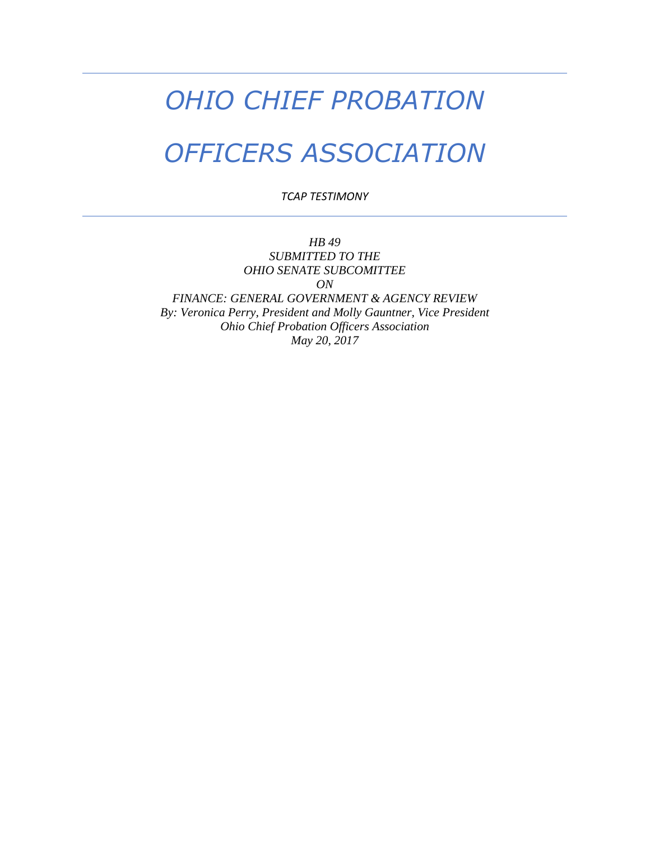## *OHIO CHIEF PROBATION*

## *OFFICERS ASSOCIATION*

*TCAP TESTIMONY* 

*HB 49 SUBMITTED TO THE OHIO SENATE SUBCOMITTEE ON FINANCE: GENERAL GOVERNMENT & AGENCY REVIEW By: Veronica Perry, President and Molly Gauntner, Vice President Ohio Chief Probation Officers Association May 20, 2017*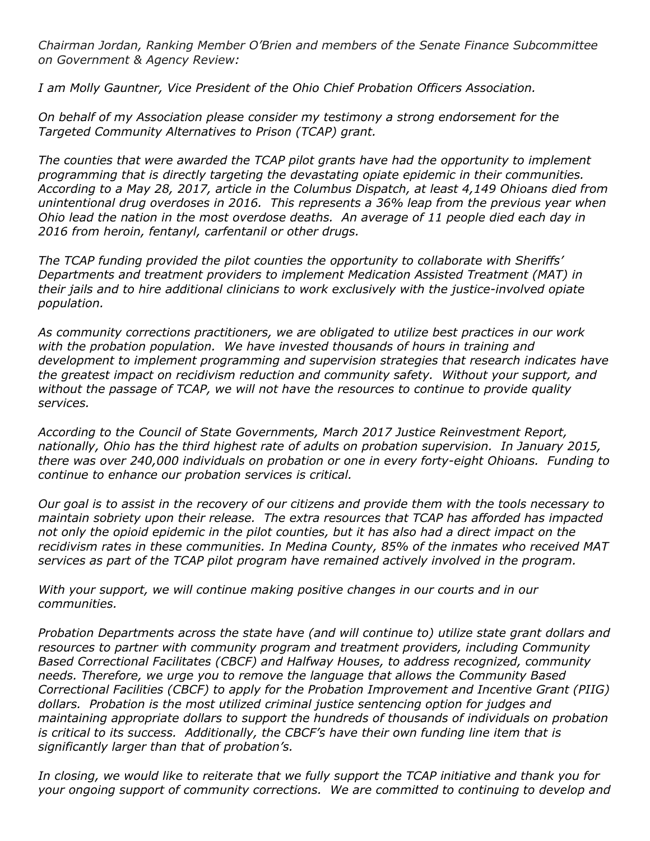*Chairman Jordan, Ranking Member O'Brien and members of the Senate Finance Subcommittee on Government & Agency Review:* 

*I am Molly Gauntner, Vice President of the Ohio Chief Probation Officers Association.* 

*On behalf of my Association please consider my testimony a strong endorsement for the Targeted Community Alternatives to Prison (TCAP) grant.* 

*The counties that were awarded the TCAP pilot grants have had the opportunity to implement programming that is directly targeting the devastating opiate epidemic in their communities. According to a May 28, 2017, article in the Columbus Dispatch, at least 4,149 Ohioans died from unintentional drug overdoses in 2016. This represents a 36% leap from the previous year when Ohio lead the nation in the most overdose deaths. An average of 11 people died each day in 2016 from heroin, fentanyl, carfentanil or other drugs.* 

*The TCAP funding provided the pilot counties the opportunity to collaborate with Sheriffs' Departments and treatment providers to implement Medication Assisted Treatment (MAT) in their jails and to hire additional clinicians to work exclusively with the justice-involved opiate population.*

*As community corrections practitioners, we are obligated to utilize best practices in our work with the probation population. We have invested thousands of hours in training and development to implement programming and supervision strategies that research indicates have the greatest impact on recidivism reduction and community safety. Without your support, and without the passage of TCAP, we will not have the resources to continue to provide quality services.* 

*According to the Council of State Governments, March 2017 Justice Reinvestment Report, nationally, Ohio has the third highest rate of adults on probation supervision. In January 2015, there was over 240,000 individuals on probation or one in every forty-eight Ohioans. Funding to continue to enhance our probation services is critical.* 

*Our goal is to assist in the recovery of our citizens and provide them with the tools necessary to maintain sobriety upon their release. The extra resources that TCAP has afforded has impacted not only the opioid epidemic in the pilot counties, but it has also had a direct impact on the recidivism rates in these communities. In Medina County, 85% of the inmates who received MAT services as part of the TCAP pilot program have remained actively involved in the program.*

*With your support, we will continue making positive changes in our courts and in our communities.*

*Probation Departments across the state have (and will continue to) utilize state grant dollars and resources to partner with community program and treatment providers, including Community Based Correctional Facilitates (CBCF) and Halfway Houses, to address recognized, community needs. Therefore, we urge you to remove the language that allows the Community Based Correctional Facilities (CBCF) to apply for the Probation Improvement and Incentive Grant (PIIG) dollars. Probation is the most utilized criminal justice sentencing option for judges and maintaining appropriate dollars to support the hundreds of thousands of individuals on probation is critical to its success. Additionally, the CBCF's have their own funding line item that is significantly larger than that of probation's.*

*In closing, we would like to reiterate that we fully support the TCAP initiative and thank you for your ongoing support of community corrections. We are committed to continuing to develop and*